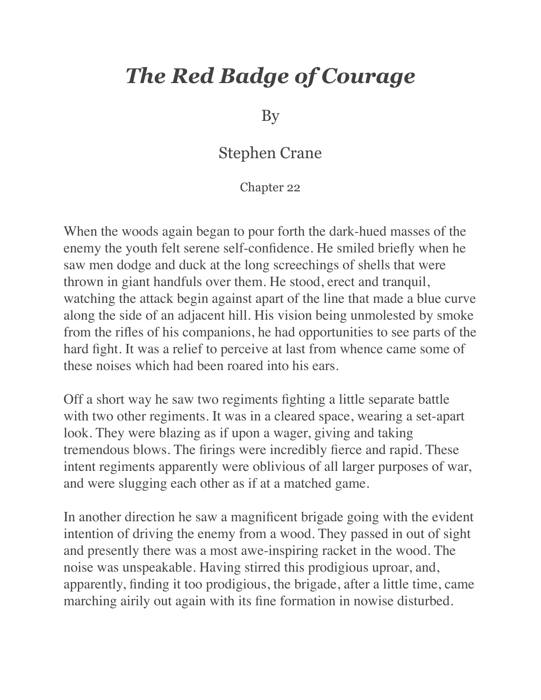## *The Red Badge of Courage*

By

## Stephen Crane

Chapter 22

When the woods again began to pour forth the dark-hued masses of the enemy the youth felt serene self-confidence. He smiled briefly when he saw men dodge and duck at the long screechings of shells that were thrown in giant handfuls over them. He stood, erect and tranquil, watching the attack begin against apart of the line that made a blue curve along the side of an adjacent hill. His vision being unmolested by smoke from the rifles of his companions, he had opportunities to see parts of the hard fight. It was a relief to perceive at last from whence came some of these noises which had been roared into his ears.

Off a short way he saw two regiments fighting a little separate battle with two other regiments. It was in a cleared space, wearing a set-apart look. They were blazing as if upon a wager, giving and taking tremendous blows. The firings were incredibly fierce and rapid. These intent regiments apparently were oblivious of all larger purposes of war, and were slugging each other as if at a matched game.

In another direction he saw a magnificent brigade going with the evident intention of driving the enemy from a wood. They passed in out of sight and presently there was a most awe-inspiring racket in the wood. The noise was unspeakable. Having stirred this prodigious uproar, and, apparently, finding it too prodigious, the brigade, after a little time, came marching airily out again with its fine formation in nowise disturbed.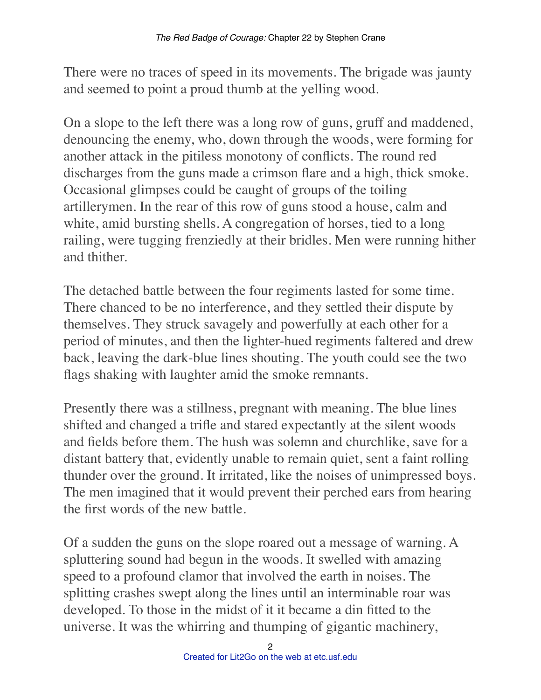There were no traces of speed in its movements. The brigade was jaunty and seemed to point a proud thumb at the yelling wood.

On a slope to the left there was a long row of guns, gruff and maddened, denouncing the enemy, who, down through the woods, were forming for another attack in the pitiless monotony of conflicts. The round red discharges from the guns made a crimson flare and a high, thick smoke. Occasional glimpses could be caught of groups of the toiling artillerymen. In the rear of this row of guns stood a house, calm and white, amid bursting shells. A congregation of horses, tied to a long railing, were tugging frenziedly at their bridles. Men were running hither and thither.

The detached battle between the four regiments lasted for some time. There chanced to be no interference, and they settled their dispute by themselves. They struck savagely and powerfully at each other for a period of minutes, and then the lighter-hued regiments faltered and drew back, leaving the dark-blue lines shouting. The youth could see the two flags shaking with laughter amid the smoke remnants.

Presently there was a stillness, pregnant with meaning. The blue lines shifted and changed a trifle and stared expectantly at the silent woods and fields before them. The hush was solemn and churchlike, save for a distant battery that, evidently unable to remain quiet, sent a faint rolling thunder over the ground. It irritated, like the noises of unimpressed boys. The men imagined that it would prevent their perched ears from hearing the first words of the new battle.

Of a sudden the guns on the slope roared out a message of warning. A spluttering sound had begun in the woods. It swelled with amazing speed to a profound clamor that involved the earth in noises. The splitting crashes swept along the lines until an interminable roar was developed. To those in the midst of it it became a din fitted to the universe. It was the whirring and thumping of gigantic machinery,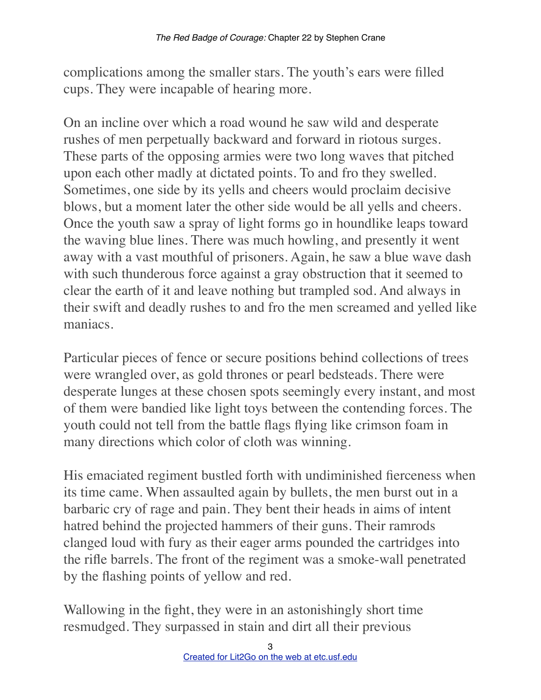complications among the smaller stars. The youth's ears were filled cups. They were incapable of hearing more.

On an incline over which a road wound he saw wild and desperate rushes of men perpetually backward and forward in riotous surges. These parts of the opposing armies were two long waves that pitched upon each other madly at dictated points. To and fro they swelled. Sometimes, one side by its yells and cheers would proclaim decisive blows, but a moment later the other side would be all yells and cheers. Once the youth saw a spray of light forms go in houndlike leaps toward the waving blue lines. There was much howling, and presently it went away with a vast mouthful of prisoners. Again, he saw a blue wave dash with such thunderous force against a gray obstruction that it seemed to clear the earth of it and leave nothing but trampled sod. And always in their swift and deadly rushes to and fro the men screamed and yelled like maniacs.

Particular pieces of fence or secure positions behind collections of trees were wrangled over, as gold thrones or pearl bedsteads. There were desperate lunges at these chosen spots seemingly every instant, and most of them were bandied like light toys between the contending forces. The youth could not tell from the battle flags flying like crimson foam in many directions which color of cloth was winning.

His emaciated regiment bustled forth with undiminished fierceness when its time came. When assaulted again by bullets, the men burst out in a barbaric cry of rage and pain. They bent their heads in aims of intent hatred behind the projected hammers of their guns. Their ramrods clanged loud with fury as their eager arms pounded the cartridges into the rifle barrels. The front of the regiment was a smoke-wall penetrated by the flashing points of yellow and red.

Wallowing in the fight, they were in an astonishingly short time resmudged. They surpassed in stain and dirt all their previous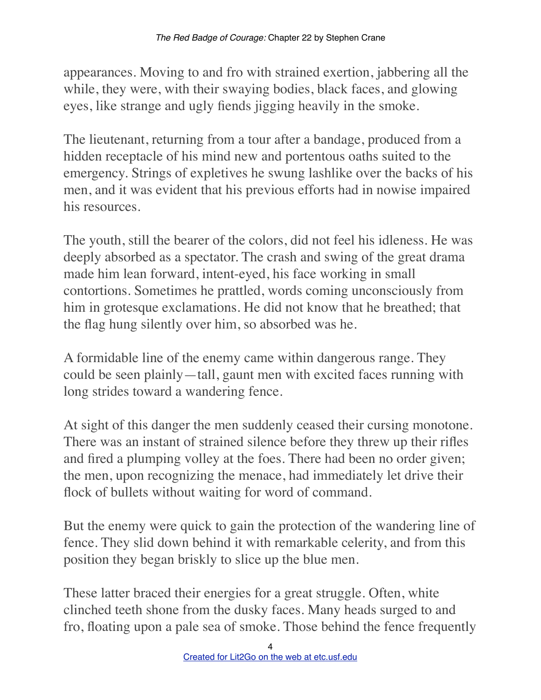appearances. Moving to and fro with strained exertion, jabbering all the while, they were, with their swaying bodies, black faces, and glowing eyes, like strange and ugly fiends jigging heavily in the smoke.

The lieutenant, returning from a tour after a bandage, produced from a hidden receptacle of his mind new and portentous oaths suited to the emergency. Strings of expletives he swung lashlike over the backs of his men, and it was evident that his previous efforts had in nowise impaired his resources.

The youth, still the bearer of the colors, did not feel his idleness. He was deeply absorbed as a spectator. The crash and swing of the great drama made him lean forward, intent-eyed, his face working in small contortions. Sometimes he prattled, words coming unconsciously from him in grotesque exclamations. He did not know that he breathed; that the flag hung silently over him, so absorbed was he.

A formidable line of the enemy came within dangerous range. They could be seen plainly—tall, gaunt men with excited faces running with long strides toward a wandering fence.

At sight of this danger the men suddenly ceased their cursing monotone. There was an instant of strained silence before they threw up their rifles and fired a plumping volley at the foes. There had been no order given; the men, upon recognizing the menace, had immediately let drive their flock of bullets without waiting for word of command.

But the enemy were quick to gain the protection of the wandering line of fence. They slid down behind it with remarkable celerity, and from this position they began briskly to slice up the blue men.

These latter braced their energies for a great struggle. Often, white clinched teeth shone from the dusky faces. Many heads surged to and fro, floating upon a pale sea of smoke. Those behind the fence frequently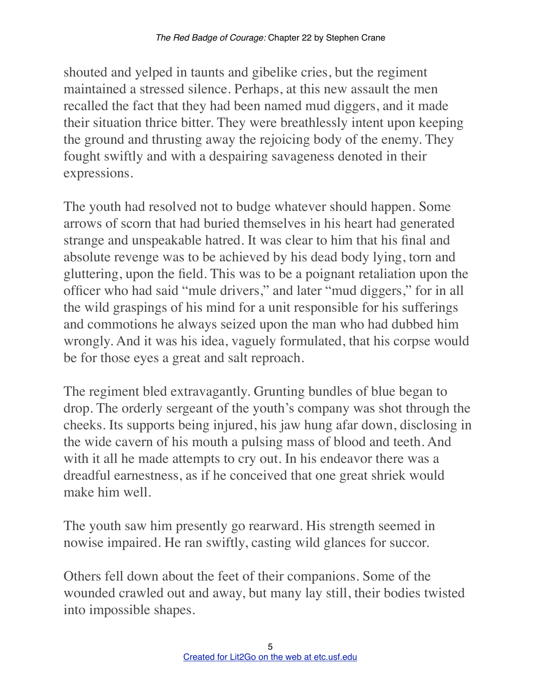shouted and yelped in taunts and gibelike cries, but the regiment maintained a stressed silence. Perhaps, at this new assault the men recalled the fact that they had been named mud diggers, and it made their situation thrice bitter. They were breathlessly intent upon keeping the ground and thrusting away the rejoicing body of the enemy. They fought swiftly and with a despairing savageness denoted in their expressions.

The youth had resolved not to budge whatever should happen. Some arrows of scorn that had buried themselves in his heart had generated strange and unspeakable hatred. It was clear to him that his final and absolute revenge was to be achieved by his dead body lying, torn and gluttering, upon the field. This was to be a poignant retaliation upon the officer who had said "mule drivers," and later "mud diggers," for in all the wild graspings of his mind for a unit responsible for his sufferings and commotions he always seized upon the man who had dubbed him wrongly. And it was his idea, vaguely formulated, that his corpse would be for those eyes a great and salt reproach.

The regiment bled extravagantly. Grunting bundles of blue began to drop. The orderly sergeant of the youth's company was shot through the cheeks. Its supports being injured, his jaw hung afar down, disclosing in the wide cavern of his mouth a pulsing mass of blood and teeth. And with it all he made attempts to cry out. In his endeavor there was a dreadful earnestness, as if he conceived that one great shriek would make him well.

The youth saw him presently go rearward. His strength seemed in nowise impaired. He ran swiftly, casting wild glances for succor.

Others fell down about the feet of their companions. Some of the wounded crawled out and away, but many lay still, their bodies twisted into impossible shapes.